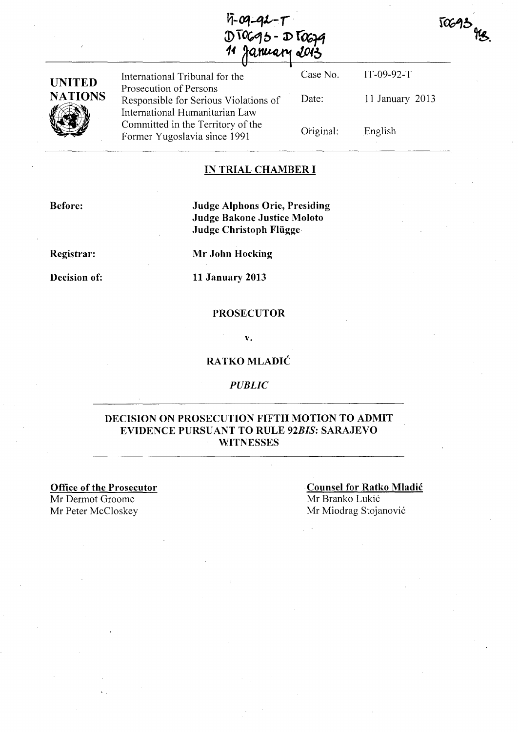$5 - 09 - 92 - 7$  $DTOG95 - DTOG29$ aruary 2013

| TOG93 ges. |  |
|------------|--|
|            |  |



Case No. IT-09-92-T International Tribunal for the Prosecution of Persons Responsible for Serious Violations of International Humanitarian Law Committed in the Territory of the Former Yugoslavia since 1991 Date: 11 January 2013 Original: English

# **IN TRIAL CHAMBER I**

**Before:** 

**Judge Alphons Orie, Presiding Judge Bakone Justice Moloto Judge Christoph Fliigge** 

**Registrar:** 

**Decision of:** 

**Mr John Hocking** 

**11 January 2013** 

#### **PROSECUTOR**

v.

# **RATKO MLADIC**

*PUBLIC* 

# **DECISION ON PROSECUTION FIFTH MOTION TO ADMIT EVIDENCE PURSUANT TO RULE** *92BIS:* **SARAJEVO WITNESSES**

**Office of the Prosecutor**  Mr Dermot Groome Mr Peter McCloskey

**Counsel for Ratko Mladic**  Mr Branko Lukić Mr Miodrag Stojanović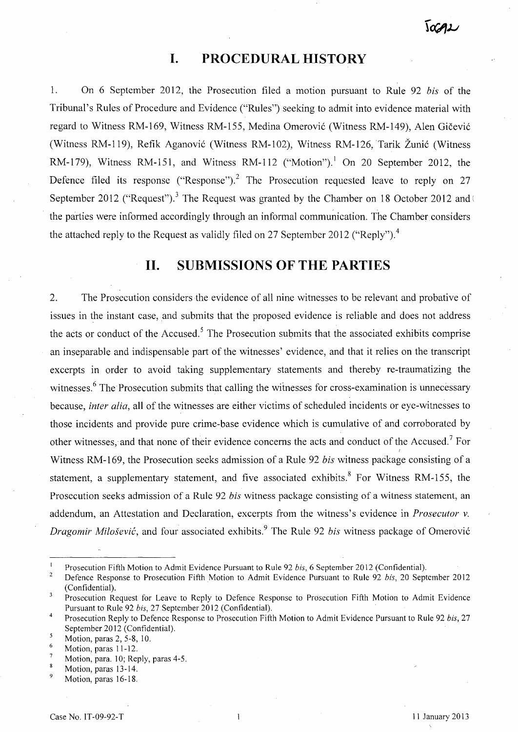# **I. PROCEDURAL HISTORY**

1. On 6 September 2012, the Prosecution filed a motion pursuant to Rule 92 *bis* of the Tribunal's Rules of Procedure and Evidence ("Rules") seeking to admit into evidence material with regard to Witness RM-169, Witness RM-155, Medina Omerovic (Witness RM-149), Alen Gicevic (Witness RM-119), Refik Aganovic (Witness RM-I02), Witness RM-126, Tarik Zunic (Witness RM-179), Witness RM-151, and Witness RM-112 ("Motion").<sup>1</sup> On 20 September 2012, the Defence filed its response ("Response").<sup>2</sup> The Prosecution requested leave to reply on 27 September 2012 ("Request").<sup>3</sup> The Request was granted by the Chamber on 18 October 2012 and ( the parties were informed accordingly through an informal communication. The Chamber considers the attached reply to the Request as validly filed on 27 September 2012 ("Reply").<sup>4</sup>

# **11. SUBMISSIONS OF THE PARTIES**

2. The Prosecution considers the evidence of all nine witnesses to be relevant and probative of issues in the instant case, and submits that the proposed evidence is reliable and does not address the acts or conduct of the Accused.<sup>5</sup> The Prosecution submits that the associated exhibits comprise an inseparable and indispensable part of the witnesses' evidence, and that it relies on the transcript excerpts in order to avoid taking supplementary statements and thereby re-traumatizing the witnesses.<sup>6</sup> The Prosecution submits that calling the witnesses for cross-examination is unnecessary because, *inter alia,* all of the witnesses are either victims of scheduled incidents or eye-witnesses to those incidents and provide pure crime-base evidence which is cumulative of and corroborated by other witnesses, and that none of their evidence concerns the acts and conduct of the Accused.<sup>7</sup> For Witness RM-169, the Prosecution seeks admission of a Rule 92 *bis* witness package consisting of a statement, a supplementary statement, and five associated exhibits.<sup>8</sup> For Witness RM-155, the Prosecution seeks admission of a Rule 92 *bis* witness package consisting of a witness statement, an addendum, an Attestation and Declaration, excerpts from the witness's evidence in *Prosecutor* v. *Dragomir Milošević*, and four associated exhibits.<sup>9</sup> The Rule 92 *bis* witness package of Omerović

Prosecution Fifth Motion to Admit Evidence Pursuant to Rule 92 *his,* 6 September 2012 (Confidential).

 $\overline{\mathbf{c}}$ Defence Response to Prosecution Fifth Motion to Admit Evidence Pursuant to Rule 92 *his,* 20 September 2012 (Confidential).

 $\overline{3}$ Prosecution Request for Leave to Reply to Defence Response to Prosecution Fifth Motion to Admit Evidence Pursuant to Rule 92 *his,* 27 .September 2012 (Confidential).

<sup>4</sup>  Prosecution Reply to Defence Response to Prosecution Fifth Motion to Admit Evidence Pursuant to Rule 92 *his, 27*  September 2012 (Confidential).

<sup>5</sup> Motion, paras 2, 5-8, 10. 6

Motion, paras 11-12.

Motion, para. 10; Reply, paras 4-5.  $\boldsymbol{8}$ 

Motion, paras 13-14.

Motion, paras 16-18.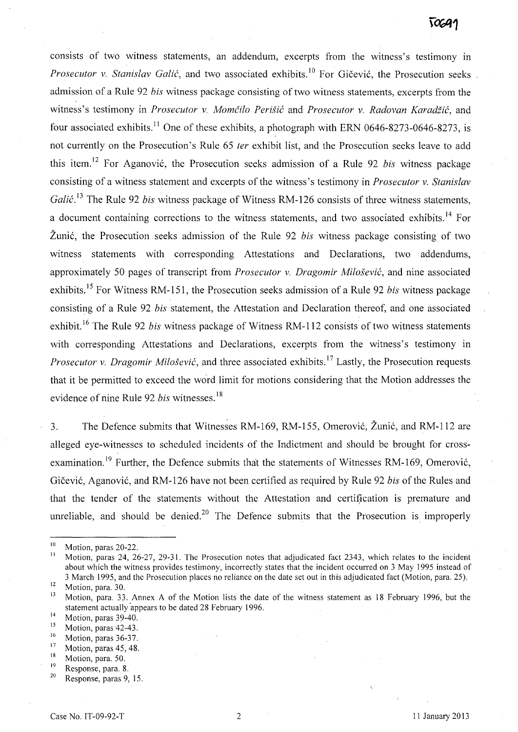consists of two witness statements, an addendum, excerpts from the witness's testimony in *Prosecutor v. Stanislav Galić*, and two associated exhibits.<sup>10</sup> For Gičević, the Prosecution seeks admission of a Rule 92 *bis* witness package consisting of two witness statements, excerpts from the witness's testimony in *Prosecutor v. Momčilo Perišić* and *Prosecutor v. Radovan Karadžić*, and four associated exhibits.<sup>11</sup> One of these exhibits, a photograph with ERN 0646-8273-0646-8273, is not currently on the Prosecution's Rule 65 *ter* exhibit list, and the Prosecution seeks leave to add this item.12 For Aganovic, the Prosecution seeks admission of a Rule 92 *bis* witness package consisting of a witness statement and excerpts of the witness's testimony in *Prosecutor* v. *Stanislav Galić*.<sup>13</sup> The Rule 92 *bis* witness package of Witness RM-126 consists of three witness statements, a document containing corrections to the witness statements, and two associated exhibits.<sup>14</sup> For Zunic, the Prosecution seeks admission of the Rule 92 *bis* witness package consisting of two witness statements with corresponding Attestations and Declarations, two addendums, approximately 50 pages of transcript from *Prosecutor* v. *Dragomir Milosevie,* and nine associated exhibits.<sup>15</sup> For Witness RM-151, the Prosecution seeks admission of a Rule 92 *bis* witness package consisting of a Rule 92 *bis* statement, the Attestation and Declaration thereof, and one associated exhibit.<sup>16</sup> The Rule 92 *bis* witness package of Witness RM-112 consists of two witness statements with corresponding Attestations and Declarations, excerpts from the witness's testimony in *Prosecutor v. Dragomir Milošević*, and three associated exhibits.<sup>17</sup> Lastly, the Prosecution requests that it be permitted to exceed the word limit for motions considering that the Motion addresses the evidence of nine Rule 92 *bis* witnesses.<sup>18</sup>

3. The Defence submits that Witnesses RM-169, RM-155, Omerović, Žunić, and RM-112 are alleged eye-witnesses to scheduled incidents of the Indictment and should be brought for crossexamination.<sup>19</sup> Further, the Defence submits that the statements of Witnesses RM-169, Omerovic, Gicevic, Aganovic, and RM -126 have not been certified as required by Rule 92 *bis* of the Rules and that the tender of the statements without the Attestation and certification is premature and unreliable, and should be denied.<sup>20</sup> The Defence submits that the Prosecution is improperly

- $^{17}$  Motion, paras 45, 48.
- $\frac{18}{19}$  Motion, para. 50.

 $\frac{10}{11}$  Motion, paras 20-22.

Motion, paras 24, 26-27, 29-31. The Prosecution notes that adjudicated fact 2343, which relates to the incident about which the witness provides testimony, incorrectly states that the incident occurred on 3 May 1995 instead of 3 March 1995, and the Prosecution places no reliance on the date set out in this adjudicated fact (Motion, para. 25).

 $\frac{12}{13}$  Motion, para. 30.

Motion, para. 33. Annex A of the Motion lists the date of the witness statement as 18 February 1996, but the statement actually 'appears to be dated 28 February 1996.

 $^{14}$  Motion, paras 39-40.

<sup>&</sup>lt;sup>15</sup> Motion, paras 42-43.

 $\frac{16}{17}$  Motion, paras 36-37.

 $19$  Response, para. 8.

Response, paras 9, 15.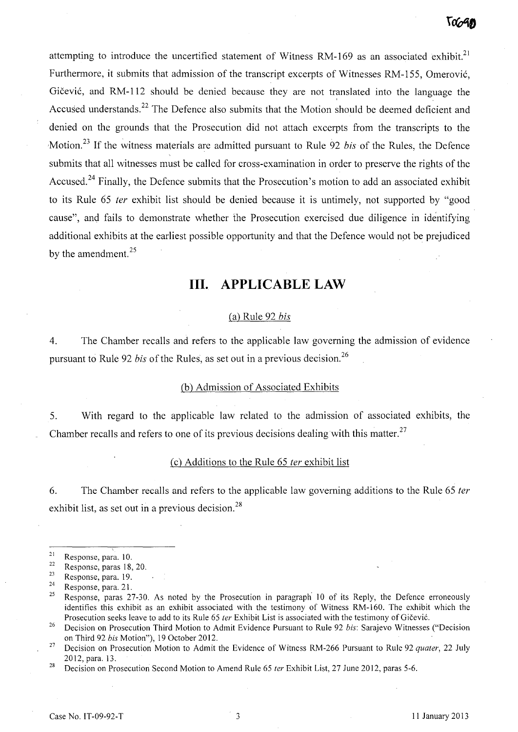attempting to introduce the uncertified statement of Witness RM-169 as an associated exhibit.<sup>21</sup> Furthermore, it submits that admission of the transcript excerpts of Witnesses RM-155, Omerovic, Gičević, and RM-112 should be denied because they are not translated into the language the Accused understands.<sup>22</sup> The Defence also submits that the Motion should be deemed deficient and denied on the grounds that the Prosecution did not attach excerpts from the transcripts to the Motion. 23 If the witness materials are admitted pursuant to Rule 92 *bis* of the Rules, the Defence submits that all witnesses must be called for cross-examination in order to preserve the rights of the Accused.<sup>24</sup> Finally, the Defence submits that the Prosecution's motion to add an associated exhibit to its Rule 65 fer exhibit list should be denied because it is untimely, not supported by "good cause", and fails to demonstrate whether the Prosecution exercised due diligence in identifying additional exhibits at the earliest possible opportunity and that the Defence would npt be prejudiced by the amendment.<sup>25</sup>

# **Ill. APPLICABLE LAW**

#### Ca) Rule 92 *bis*

4. The Chamber recalls and refers to the applicable law governing the admission of evidence pursuant to Rule 92 *bis* of the Rules, as set out in a previous decision. <sup>26</sup>

# (b) Admission of Associated Exhibits

5. With regard to the applicable law related to the admission of associated exhibits, the Chamber recalls and refers to one of its previous decisions dealing with this matter.<sup>27</sup>

### $(c)$  Additions to the Rule 65 *ter* exhibit list

6. The Chamber recalls and refers to the applicable law governing additions to the Rule 65 ter exhibit list, as set out in a previous decision.<sup>28</sup>

 $\frac{21}{22}$  Response, para. 10.

 $\frac{22}{23}$  Response, paras 18, 20.

 $\frac{23}{24}$  Response, para. 19.

 $\frac{24}{25}$  Response, para. 21.

<sup>25</sup> Response, paras 27-30. As noted by the Prosecution in paragraph 10 of its Reply, the Defence erroneously identifies this exhibit as an exhibit associated with the testimony of Witness RM-I60. The exhibit which the Prosecution seeks leave to add to its Rule 65 ter Exhibit List is associated with the testimony of Gičević.

<sup>26</sup> Decision on Prosecution Third Motion to Admit Evidence Pursuant to Rule 92 *his:* Sarajevo Witnesses ("Decision on Third 92 *his* Motion"), 19 October 2012.

<sup>&</sup>lt;sup>27</sup> Decision on Prosecution Motion to Admit the Evidence of Witness RM-266 Pursuant to Rule 92 quater, 22 July 2012, para. 13.

<sup>&</sup>lt;sup>28</sup> Decision on Prosecution Second Motion to Amend Rule 65 *ter* Exhibit List, 27 June 2012, paras 5-6.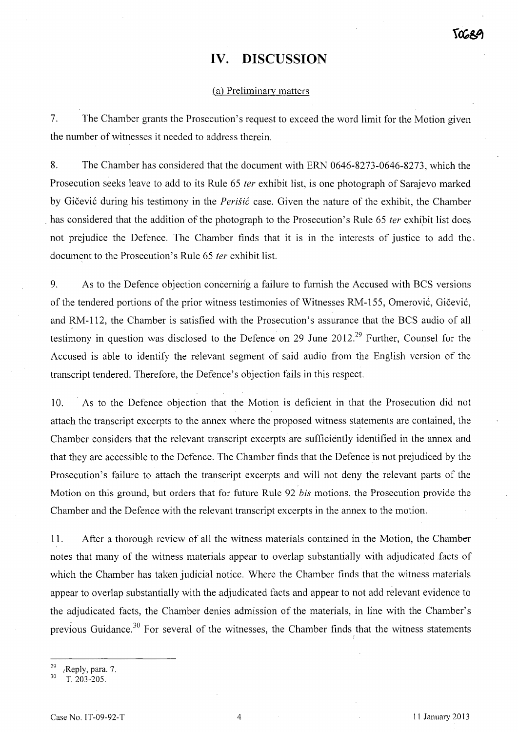# **IV. DISCUSSION**

#### Ca) Preliminary matters

7. The Chamber grants the Prosecution's request to exceed the word limit for the Motion given the number of witnesses it needed to address therein.

8. The Chamber has considered that the document with ERN 0646-8273-0646-8273, which the Prosecution seeks leave to add to its Rule 65 fer exhibit list, is one photograph of Sarajevo marked by Gičević during his testimony in the *Perišić* case. Given the nature of the exhibit, the Chamber has considered that the addition of the photograph to the Prosecution's Rule 65 *ter* exhibit list does not prejudice the Defence. The Chamber finds that it is in the interests of justice to add the, document to the Prosecution's Rule 65 fer exhibit list.

9. As to the Defence objection concerning a failure to furnish the Accused with BCS versions of the tendered portions of the prior witness testimonies of Witnesses RM-155, Omerovic, Gicevic, and RM-112, the Chamber is satisfied with the Prosecution's assurance that the BCS audio of all testimony in question was disclosed to the Defence on 29 June 2012.<sup>29</sup> Further, Counsel for the Accused is able to identify the relevant segment of said audio from the English version of the transcript tendered. Therefore, the Defence's objection fails in this respect.

10. As to the Defence objection that the Motion is deficient in that the Prosecution did not attach the transcript excerpts to the annex where the proposed witness statements are contained, the Chamber considers that the relevant transcript excerpts are sufficiently identified in the annex and that they are accessible to the Defence. The Chamber finds that the Defence is not prejudiced by the Prosecution's failure to attach the transcript excerpts and will not deny the relevant parts of the Motion on this ground, but orders that for future Rule 92 *bis* motions, the Prosecution provide the Chamber and the Defence with the relevant transcript excerpts in the annex to the motion.

11. After a thorough review of all the witness materials contained in the Motion, the Chamber notes that many of the witness materials appear to overlap substantially with adjudicated .facts of which the Chamber has taken judicial notice. Where the Chamber finds that the witness materials appear to overlap substantially with the adjudicated facts and appear to not add relevant evidence to the adjudicated facts, the Chamber denies admission of the materials, in line with the Chamber's previous Guidance.<sup>30</sup> For several of the witnesses, the Chamber finds that the witness statements I

 $^{29}$  (Reply, para. 7.

<sup>30</sup> T. 203-205.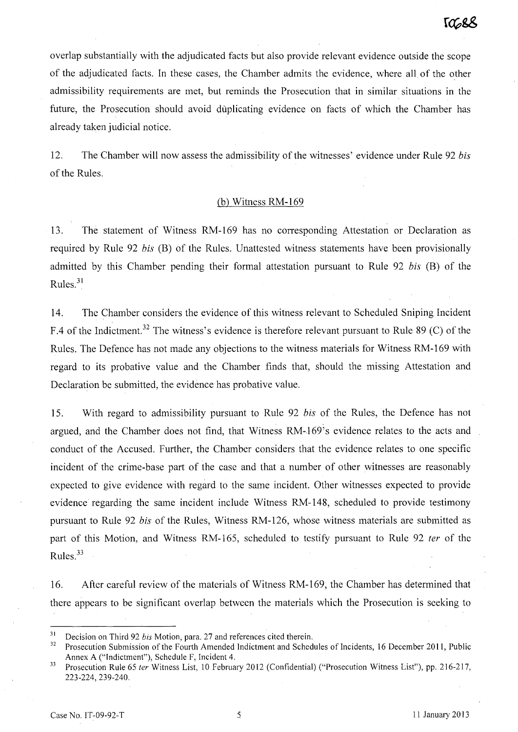overlap substantially with the adjudicated facts but also provide relevant evidence outside the scope of the adjudicated facts. In these cases, the Chamber admits the evidence, where all of the other admissibility requirements are met, but reminds the Prosecution that in similar situations in the future, the Prosecution should avoid duplicating evidence on facts of which the Chamber has already taken judicial notice.

12. The Chamber will now assess the admissibility of the witnesses' evidence under Rule 92 *bis*  of the Rules.

# $(b)$  Witness RM-169

13. The statement of Witness RM-169 has no corresponding Attestation or Declaration as required by Rule 92 *bis* (B) of the Rules. Unattested witness statements have been provisionally admitted by this Chamber pending their formal attestation pursuant to Rule 92 *bis* (B) of the Rules. 3l

14. The Chamber considers the evidence of this witness relevant to Scheduled Sniping Incident F.4 of the Indictment.<sup>32</sup> The witness's evidence is therefore relevant pursuant to Rule 89 (C) of the Rules. The Defence has not made any objections to the witness materials for Witness RM-169 with regard to its probative value and the Chamber finds that, should the missing Attestation and Declaration be submitted, the evidence has probative value.

15. With regard to admissibility pursuant to Rule 92 *bis* of the Rules, the Defence has not argued, and the Chamber does not find, that Witness RM-169's evidence relates to the acts and conduct of the Accused. Further, the Chamber considers that the evidence relates to one specific incident of the crime-base part of the case and that a number of other witnesses are reasonably expected to give evidence with regard to the same incident. Other witnesses expected to provide evidence regarding the same incident include Witness RM-148, scheduled to provide testimony pursuant to Rule 92 *bis* of the Rules, Witness RM-126, whose witness materials are submitted as part of this Motion, and Witness RM-165, scheduled to testify pursuant to Rule 92 *ter* of the Rules. $33$ 

16. After careful review of the materials of Witness RM-169, the Chamber has determined that there appears to be significant overlap between the materials which the Prosecution is seeking to

<sup>&</sup>lt;sup>31</sup> Decision on Third 92 *bis* Motion, para. 27 and references cited therein.<br><sup>32</sup> Progecution Submission of the Fourth Amended Indictment and Schod

Prosecution Submission of the Fourth Amended Indictment and Schedules of Incidents, 16 December 2011, Public Annex A ("Indictment"), Schedule F, Incident 4.

<sup>&</sup>lt;sup>33</sup> Prosecution Rule 65 ter Witness List, 10 February 2012 (Confidential) ("Prosecution Witness List"), pp. 216-217, 223-224,239-240.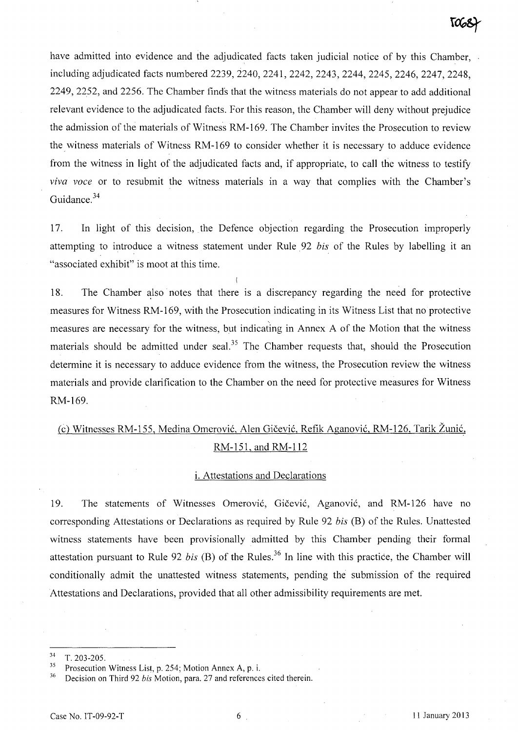have admitted into evidence and the adjudicated facts taken judicial notice of by this Chamber, including adjudicated facts numbered 2239, 2240, 2241, 2242, 2243, 2244, 2245, 2246, 2247, 2248, 2249,2252, and 2256. The Chamber finds that the witness materials do not appear to add additional relevant evidence to the adjudicated facts. For this reason, the Chamber will deny without prejudice the admission of the materials of Witness RM -169. The Chamber invites the Prosecution to review the witness materials of Witness RM -169 to consider whether it is necessary to adduce evidence from the witness in light of the adjudicated facts and, if appropriate, to call the witness to testify *viva voce* or to resubmit the witness materials in a way that complies with the Chamber's Guidance. 34

17. In light of this decision, the Defence objection regarding the Prosecution improperly attempting to introduce a witness statement under Rule 92 *bis* of the Rules by labelling it an "associated exhibit" is moot at this time.

18. The Chamber also notes that there is a discrepancy regarding the need for protective measures for Witness RM -169, with the Prosecution indicating in its Witness List that no protective  $\mathbf{r}$ measures are necessary for the witness, but indicating in Annex A of the Motion that the witness materials should be admitted under seal.<sup>35</sup> The Chamber requests that, should the Prosecution determine it is necessary to adduce evidence from the witness, the Prosecution review the witness materials and provide clarification to the Chamber on the need for protective measures for Witness RM-169.

# Cc) Witnesses RM-155, Medina Omerovic, Alen Gicevic, Refik Aganovic, RM-126, Tarik Zunic, RM-151, and RM-112

#### i. Attestations and Declarations

19. The statements of Witnesses Omerovic, Gicevic, Aganovic, and RM-126 have no corresponding Attestations or Declarations as required by Rule 92 *bis* (B) of the Rules. Unattested witness statements have been provisionally admitted by this Chamber pending their formal attestation pursuant to Rule 92 *bis* (B) of the Rules.<sup>36</sup> In line with this practice, the Chamber will conditionally admit the unattested witness statements, pending the submission of the required Attestations and Declarations, provided that all other admissibility requirements are met.

<sup>34</sup> T.203-205.

<sup>&</sup>lt;sup>35</sup> Prosecution Witness List, p. 254; Motion Annex A, p. i.

<sup>36</sup> Decision on Third 92 *bis* Motion, para. 27 and references cited therein.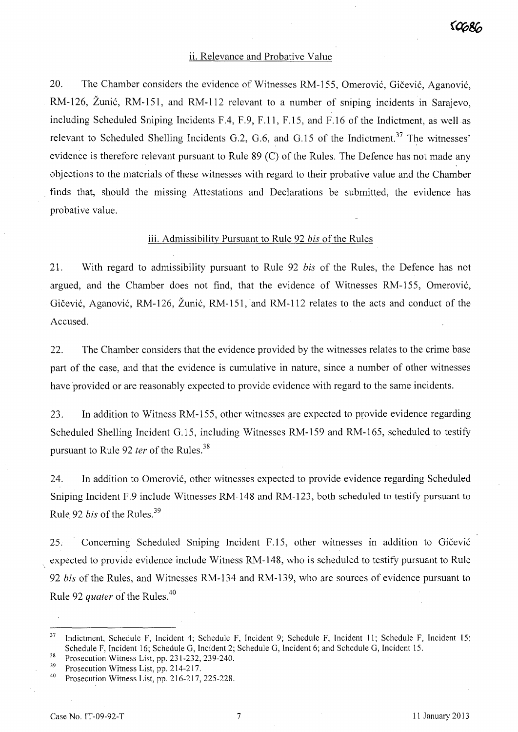# ii. Relevance and Probative Value

20. The Chamber considers the evidence of Witnesses RM-155, Omerović, Gičević, Aganović, RM-126, Zunic, RM-151, and RM-112 relevant to a number of sniping incidents in Sarajevo, including Scheduled Sniping Incidents F.4, F.9, F.11, F.15, and F.16 of the Indictment, as well as relevant to Scheduled Shelling Incidents G.2, G.6, and G.15 of the Indictment.<sup>37</sup> The witnesses' evidence is therefore relevant pursuant to Rule 89 (C) of the Rules. The Defence has not made any objections to the materials of these witnesses with regard to their probative value and the Chamber finds that, should the missing Attestations and Declarations be submitted, the evidence has probative value.

### iii. Admissibility Pursuant to Rule 92 *his* of the Rules

21. With regard to admissibility pursuant to Rule 92 *his* of the Rules, the Defence has not argued, and the Chamber does not find, that the evidence of Witnesses RM-155, Omerovic, Gičević, Aganović, RM-126, Žunić, RM-151, and RM-112 relates to the acts and conduct of the Accused.

22. The Chamber considers that the evidence provided by the witnesses relates to the crime base part of the case, and that the evidence is cumulative in nature, since a number of other witnesses have provided or are reasonably expected to provide evidence with regard to the same incidents.

23. In addition to Witness RM-155, other witnesses are expected to provide evidence regarding Scheduled Shelling Incident G.15, including Witnesses RM-159 and RM-165, scheduled to testify pursuant to Rule 92 *ter* of the Rules.<sup>38</sup>

24. In addition to Omerovic, other witnesses expected to provide evidence regarding Scheduled Sniping Incident F.9 include Witnesses RM-148 and RM-l23, both scheduled to testify pursuant to Rule 92 *his* of the Rules. <sup>39</sup>

25. Concerning Scheduled Sniping Incident F.15, other witnesses in addition to Gičević expected to provide evidence include Witness RM-148, who is scheduled to testify pursuant to Rule *92 his* of the Rules, and Witnesses RM-134 and RM-139, who are sources of evidence pursuant to Rule 92 *quater* of the Rules.<sup>40</sup>

38 Prosecution Witness List, pp. 231-232, 239-240.

<sup>&</sup>lt;sup>37</sup> Indictment, Schedule F, Incident 4; Schedule F, Incident 9; Schedule F, Incident 11; Schedule F, Incident 15; Schedule F, Incident 16; Schedule G, Incident 2; Schedule G, Incident 6; and Schedule G, Incident 15.

<sup>&</sup>lt;sup>39</sup> Prosecution Witness List, pp. 214-217.

<sup>40</sup> Prosecution Witness List, pp. 216-217, 225-228.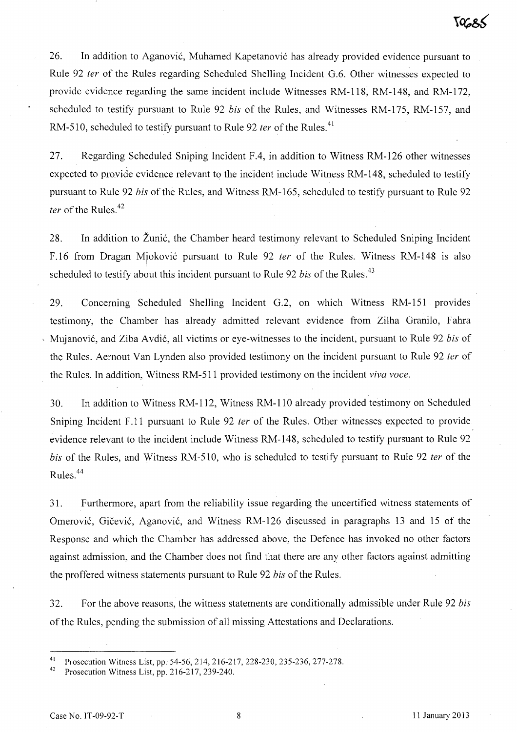26. In addition to Aganovic, Muhamed Kapetanovic has already provided evidence pursuant to Rule 92 ter of the Rules regarding Scheduled Shelling Incident G.6. Other witnesses expected to provide evidence regarding the same incident include Witnesses RM-118, RM-148, and RM-l72, scheduled to testify pursuant to Rule 92 bis of the Rules, and Witnesses RM-175, RM-157, and RM-510, scheduled to testify pursuant to Rule 92 *ter* of the Rules.<sup>41</sup>

27. Regarding Scheduled Sniping Incident F.4, in addition to Witness RM-126 other witnesses expected to provide evidence relevant to the incident include Witness RM-148, scheduled to testify pursuant to Rule 92 bis of the Rules, and Witness RM-165, scheduled to testify pursuant to Rule 92 ter of the Rules. $42$ 

28. In addition to Zunic, the Chamber heard testimony relevant to Scheduled Sniping Incident F.16 from Dragan Mioković pursuant to Rule 92 *ter* of the Rules. Witness RM-148 is also I scheduled to testify about this incident pursuant to Rule 92 bis of the Rules.<sup>43</sup>

29. Concerning Scheduled Shelling Incident G.2, on which Witness RM-151 provides testimony, the Chamber has already admitted relevant evidence from Zilha Granilo, Fahra Mujanović, and Ziba Avdić, all victims or eye-witnesses to the incident, pursuant to Rule 92 bis of the Rules. Aernout Van Lynden also provided testimony on the incident pursuant to Rule 92 *ter* of the Rules. In addition, Witness RM-51 I provided testimony on the incident *viva voce.* 

30. In addition to Witness RM-112, Witness RM-l10 already provided testimony on Scheduled Sniping Incident F.11 pursuant to Rule 92 *ter* of the Rules. Other witnesses expected to provide. evidence relevant to the incident include Witness RM-148, scheduled to testify pursuant to Rule 92 bis of the Rules, and Witness RM-510, who is scheduled to testify pursuant to Rule 92 ter of the Rules.<sup>44</sup>

31. Furthermore, apart from the reliability issue regarding the uncertified witness statements of Omerović, Gičević, Aganović, and Witness RM-126 discussed in paragraphs 13 and 15 of the Response and which the Chamber has addressed above, the Defence has invoked no other factors against admission, and the Chamber does not find that there are any other factors against admitting the proffered witness statements pursuant to Rule 92 bis of the Rules.

32. For the above reasons, the witness statements are conditionally admissible under Rule 92 bis of the Rules, pending the submission of all missing Attestations and Declarations.

<sup>&</sup>lt;sup>41</sup> Prosecution Witness List, pp. 54-56, 214, 216-217, 228-230, 235-236, 277-278.

Prosecution Witness List, pp. 216-217, 239-240.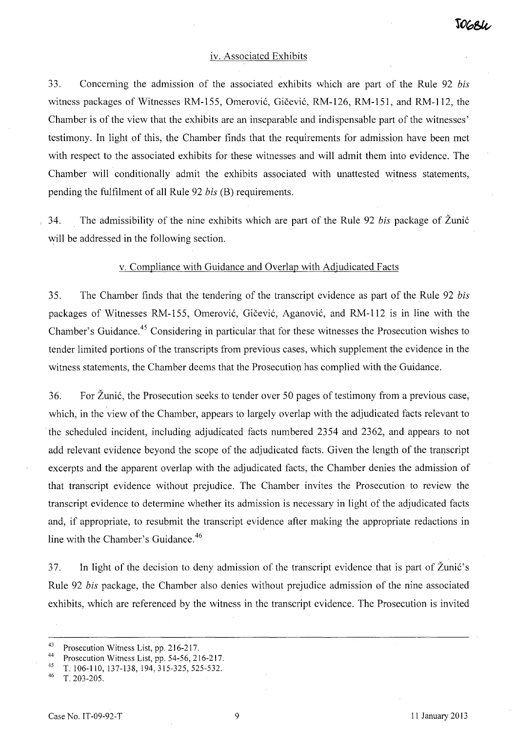### iv. Associated Exhibits

33. Concerning the admission of the associated exhibits which are part of the Rule 92 *his*  witness packages of Witnesses RM-155, Omerovic, Gicevic, RM-126, RM-151, and RM-112, the Chamber is of the view that the exhibits are an inseparable and indispensable part of the witnesses' testimony. In light of this, the Chamber finds that the requirements for admission have been met with respect to the associated exhibits for these witnesses and will admit them into evidence. The Chamber will conditionally admit the exhibits associated with unattested witness statements, pending the fulfilment of all Rule 92 *his* (B) requirements.

34. The admissibility of the nine exhibits which are part of the Rule 92 *his* package of Zunic will be addressed in the following section.

#### v. Compliance with Guidance and Overlap with Adjudicated Facts

35. The Chamber finds that the tendering of the transcript evidence as part of the Rule 92 *his*  packages of Witnesses RM-155, Omerovic, Gicevic, Aganovic, and RM-112 is in line with the Chamber's Guidance. 45 Considering in particular that for these witnesses the Prosecution wishes to tender limited portions of the transcripts from previous cases, which supplement the evidence in the witness statements, the Chamber deems that the Prosecution has complied with the Guidance.

36. For Zunic, the Prosecution seeks to tender over 50 pages of testimony from a previous case, which, in the view of the Chamber, appears to largely overlap with the adjudicated facts relevant to the scheduled incident, including adjudicated facts numbered 2354 and 2362, and appears to not add relevant evidence beyond the scope of the adjudicated facts. Given the length of the transcript excerpts and the apparent overlap with the adjudicated facts, the Chamber denies the admission of that transcript evidence without prejudice. The Chamber invites the Prosecution to review the transcript evidence to determine whether its admission is necessary in light of the adjudicated facts and, if appropriate, to resubmit the transcript evidence after making the appropriate redactions in line with the Chamber's Guidance.<sup>46</sup>

37. In light of the decision to deny admission of the transcript evidence that is part of Zunic's Rule 92 *his* package, the Chamber also denies without prejudice admission of the nine associated exhibits, which are referenced by the witness in the transcript evidence. The Prosecution is invited

<sup>&</sup>lt;sup>43</sup> Prosecution Witness List, pp. 216-217.

<sup>&</sup>lt;sup>44</sup> Prosecution Witness List, pp. 54-56, 216-217.<br><sup>45</sup> T, 106, 110, 127, 128, 104, 215, 225, 525, 522.

 $^{45}$  T. 106-110, 137-138, 194, 315-325, 525-532.

<sup>46</sup> T.203-205.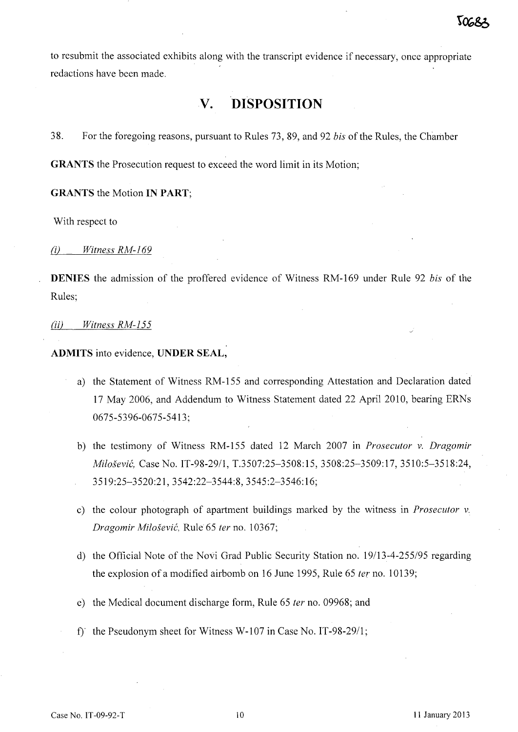to resubmit the associated exhibits along with the transcript evidence if necessary, once appropriate redactions have been made.

# **V. DISPOSITION**

38. For the foregoing reasons, pursuant to Rules 73, 89, and 92 *bis* of the Rules, the Chamber

**GRANTS** the Prosecution request to exceed the word limit in its Motion;

**GRANTS** the Motion **IN PART;** 

With respect to

(i) *Witness RM-169* 

**DENIES** the admission of the proffered evidence of Witness RM-169 under Rule 92 *bis* of the Rules;

ail *Witness RM-155* 

**ADMITS** into evidence, **UNDER SEAL,** 

- a) the Statement of Witness RM-155 and corresponding Attestation and Declaration dated 17 May 2006, and Addendum to Witness Statement dated 22 April 2010, bearing ERNs 0675-5396-0675-5413;
- b) the testimony of Witness RM-155 dated 12 March 2007 in *Prosecutor* v. *Dragomir Milosevic,* Case No. IT-98-29/1, T.3507:25-3508:15, 3508:25-3509:17, 3510:5-3518:24, 3519:25-3520:21,3542:22-3544:8,3545:2-3546:16;
- c) the colour photograph of apartment buildings marked by the witness in *Prosecutor* v. *Dragomir Milosevic,* Rule 65 *ter* no. 10367;
- d) the Official Note of the Novi Grad Public Security Station no. 19/13-4-255/95 regarding the explosion of a modified airbomb on 16 June 1995, Rule 65 *ter* no. 10139;
- e) the Medical document discharge form, Rule 65 *ter* no. 09968; and
- f} the Pseudonym sheet for Witness W-I07 in Case No. IT-98-29/1;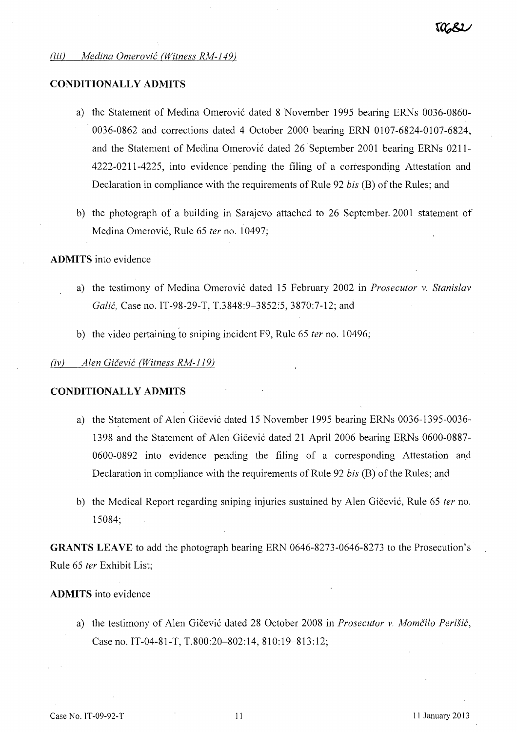#### *(iii) Medina Omerovic (Witness RM-149)*

## **CONDITIONALLY ADMITS**

- a) the Statement of Medina Omerović dated 8 November 1995 bearing ERNs 0036-0860-0036-0862 and corrections dated 4 October 2000 bearing ERN 0107-6824-0107-6824, and the Statement of Medina Omerović dated 26 September 2001 bearing ERNs 0211-4222-0211-4225, into evidence pending the filing of a corresponding Attestation and Declaration in compliance with the requirements of Rule 92 *bis* (B) of the Rules; and
- b) the photograph of a building in Sarajevo attached to 26 September, 2001 statement of Medina Omerovi6, Rule 65 *ter* no. 10497;

#### **ADMITS** into evidence

- a) the testimony of Medina Omerović dated 15 February 2002 in *Prosecutor v. Stanislav Galic,* Case no. IT-98-29-T, T.3848:9-3852:5, 3870:7-12; and
- b) the video pertaining to sniping incident F9, Rule 65 *ter* no. 10496;

#### *(iv) Alen Gicevic (Witness RM-119)*

#### **CONDITIONALLY ADMITS**

- a) the Statement of Alen Gičević dated 15 November 1995 bearing ERNs 0036-1395-0036-1398 and the Statement of Alen Gicevi6 dated 21 April 2006 bearing ERNs 0600-0887- 0600-0892 into evidence pending the filing of a corresponding Attestation and Declaration in compliance with the requirements of Rule 92 *bis* (B) of the Rules; and
- b) the Medical Report regarding sniping injuries sustained by Alen Gičević, Rule 65 *ter* no. 15084;

**GRANTS LEAVE** to add the photograph bearing ERN 0646-8273-0646-8273 to the Prosecution's Rule 65 *fer* Exhibit List;

### **ADMITS** into evidence

a) the testimony of Alen Gicevi6 dated 28 October 2008 in *Prosecutor* v. *Momcilo Perisic,*  Case no. IT-04-81-T, T.800:20-802:14, 810:19-813:12;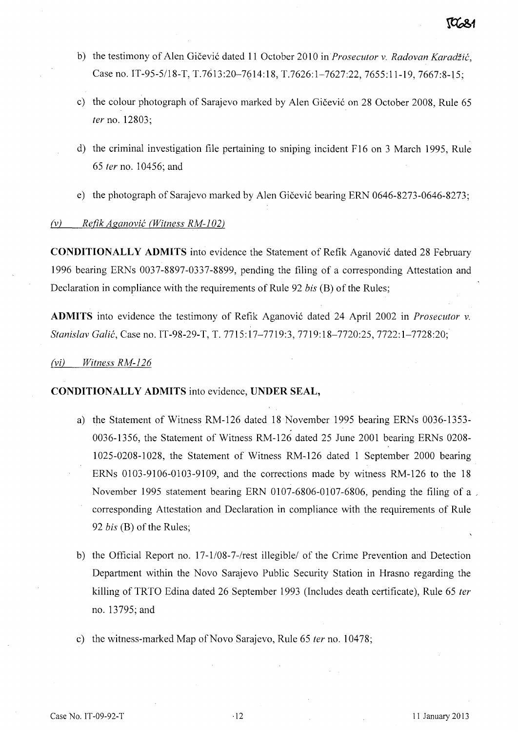- b) the testimony of Alen Gicevi6 dated **11** October 2010 in *Prosecutor* v. *Radovan Karadiic,*  Case no. IT-95-5/18-T, T.7613:20-7614:18, T.7626:1-7627:22, 7655:11-19, 7667:8-15;
- c) the colour photograph of Sarajevo marked by Alen Gičević on 28 October 2008, Rule 65 *ter* no. 12803;
- d) the criminal investigation file pertaining to sniping incident F16 on 3 March 1995, Rule *65 ter* no. 10456; and
- e) the photograph of Sarajevo marked by Alen Gičević bearing ERN 0646-8273-0646-8273;

# *(v) Refik Aganovic (Witness RM-l 02)*

**CONDITIONALLY ADMITS** into evidence the Statement of Refik Aganović dated 28 February 1996 bearing ERNs 0037-8897-0337-8899, pending the filing of a corresponding Attestation and Declaration in compliance with the requirements of Rule 92 *bis* (B) of the Rules;

**ADMITS** into evidence the testimony of Refik Aganovi6 dated 24 April 2002 in *Prosecutor* v. *Stanislav Galic,* Case no. IT-98-29-T, T. 7715: 17-7719:3, 7719: 18-7720:25, 7722: 1-7728:20;

# *(vi) Witness RM-126*

# **CONDITIONALLY ADMITS** into evidence, **UNDER SEAL,**

- a) the Statement of Witness RM-126 dated 18 November 1995 bearing ERNs 0036-1353- 0036-1356, the Statement of Witness RM-126 dated 25 June 2001 bearing ERNs 0208- 1025-0208-1028, the Statement of Witness RM-126 dated 1 September 2000 bearing ERNs 0103-9106-0103-9109, and the corrections made by witness RM-126 to the 18 November 1995 statement bearing ERN 0107-6806-0107-6806, pending the filing of a corresponding Attestation and Declaration in compliance with the requirements of Rule 92 *bis* (B) of the Rules;
- b) the Official Report no. 17-1/08-7 -/rest illegible/ of the Crime Prevention and Detection Department within the Novo Sarajevo Public Security Station in Hrasno regarding the killing of TRTO Edina dated 26 September 1993 (Includes death certificate), Rule 65 *ter*  no. 13795; and
- c) the witness-marked Map of Novo Sarajevo, Rule 65 *fer* no. 10478;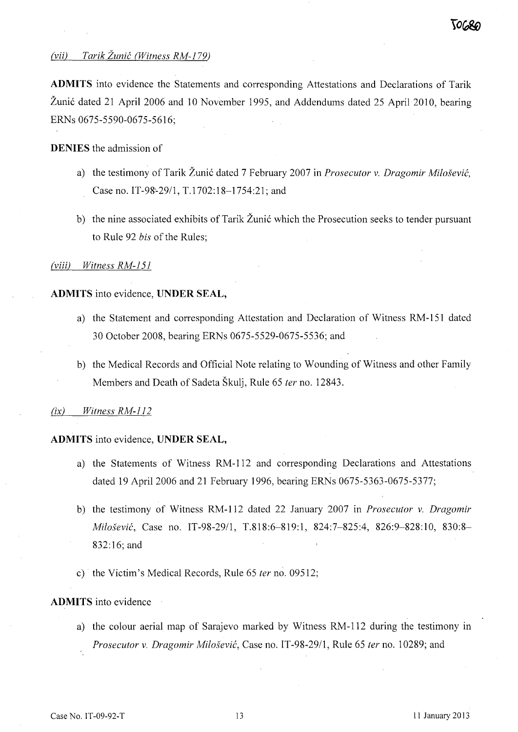# *(vii)* Tarik Žunić (Witness RM-179)

**ADMITS** into evidence the Statements and corresponding Attestations and Declarations of Tarik Žunić dated 21 April 2006 and 10 November 1995, and Addendums dated 25 April 2010, bearing ERNs 0675-5590-0675-5616;

#### **DENIES** the admission of

- a) the testimony of Tarik Žunić dated 7 February 2007 in *Prosecutor v. Dragomir Milošević*, Case no. IT-98'-2911, T.1702:18-1754:21; and
- b) the nine associated exhibits of Tarik Žunić which the Prosecution seeks to tender pursuant to Rule 92 *bis* of the Rules;

#### *(viii) Witness RM-151*

#### **ADMITS** into evidence, **UNDER SEAL,**

- a) the Statement and corresponding Attestation and Declaration of Witness RM-151 dated 30 October 2008, bearing ERNs 0675-5529-0675-5536; and
- b) the Medical Records and Official Note relating to Wounding of Witness and other Family Members and Death of Sadeta Škulj, Rule 65 *ter* no. 12843.

#### $(ix)$  *Witness RM-112*

#### **ADMITS** into evidence, **UNDER SEAL,**

- a) the Statements of Witness RM-112 and corresponding Declarations and Attestations dated 19 April 2006 and 21 February 1996, bearing ERNs 0675-5363-0675-5377;
- b) the testimony of Witness RM-112 dated 22 January 2007 in *Prosecutor v. Dragomir Milosevic,* Case no. IT-98-2911, T.818:6-819:1, 824:7-825:4, 826:9-828:10, 830:8- 832: 16; and
- c) the Victim's Medical Records, Rule 65 *ter* no. 09512;

#### **ADMITS** into evidence

a) the colour aerial map of Sarajevo marked by Witness RM-112 during the testimony in *Prosecutor v. Dragomir Milosevic,* Case no. IT -98-29/1, Rule 65 *ter* no. 10289; and